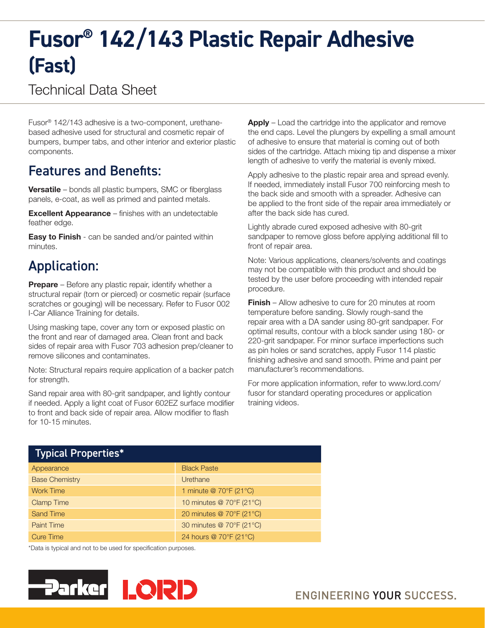# **Fusor® 142/143 Plastic Repair Adhesive (Fast)**

### Technical Data Sheet

Fusor® 142/143 adhesive is a two-component, urethanebased adhesive used for structural and cosmetic repair of bumpers, bumper tabs, and other interior and exterior plastic components.

### Features and Benefits:

**Versatile** – bonds all plastic bumpers, SMC or fiberglass panels, e-coat, as well as primed and painted metals.

Excellent Appearance – finishes with an undetectable feather edge.

**Easy to Finish** - can be sanded and/or painted within minutes.

## Application:

**Prepare** – Before any plastic repair, identify whether a structural repair (torn or pierced) or cosmetic repair (surface scratches or gouging) will be necessary. Refer to Fusor 002 I-Car Alliance Training for details.

Using masking tape, cover any torn or exposed plastic on the front and rear of damaged area. Clean front and back sides of repair area with Fusor 703 adhesion prep/cleaner to remove silicones and contaminates.

Note: Structural repairs require application of a backer patch for strength.

Sand repair area with 80-grit sandpaper, and lightly contour if needed. Apply a light coat of Fusor 602EZ surface modifier to front and back side of repair area. Allow modifier to flash for 10-15 minutes.

Apply – Load the cartridge into the applicator and remove the end caps. Level the plungers by expelling a small amount of adhesive to ensure that material is coming out of both sides of the cartridge. Attach mixing tip and dispense a mixer length of adhesive to verify the material is evenly mixed.

Apply adhesive to the plastic repair area and spread evenly. If needed, immediately install Fusor 700 reinforcing mesh to the back side and smooth with a spreader. Adhesive can be applied to the front side of the repair area immediately or after the back side has cured.

Lightly abrade cured exposed adhesive with 80-grit sandpaper to remove gloss before applying additional fill to front of repair area.

Note: Various applications, cleaners/solvents and coatings may not be compatible with this product and should be tested by the user before proceeding with intended repair procedure.

**Finish** – Allow adhesive to cure for 20 minutes at room temperature before sanding. Slowly rough-sand the repair area with a DA sander using 80-grit sandpaper. For optimal results, contour with a block sander using 180- or 220-grit sandpaper. For minor surface imperfections such as pin holes or sand scratches, apply Fusor 114 plastic finishing adhesive and sand smooth. Prime and paint per manufacturer's recommendations.

For more application information, refer to www.lord.com/ fusor for standard operating procedures or application training videos.

| <b>Typical Properties*</b> |                          |
|----------------------------|--------------------------|
| Appearance                 | <b>Black Paste</b>       |
| <b>Base Chemistry</b>      | Urethane                 |
| <b>Work Time</b>           | 1 minute @ 70°F (21°C)   |
| <b>Clamp Time</b>          | 10 minutes @ 70°F (21°C) |
| <b>Sand Time</b>           | 20 minutes @ 70°F (21°C) |
| <b>Paint Time</b>          | 30 minutes @ 70°F (21°C) |
| <b>Cure Time</b>           | 24 hours @ 70°F (21°C)   |

\*Data is typical and not to be used for specification purposes.